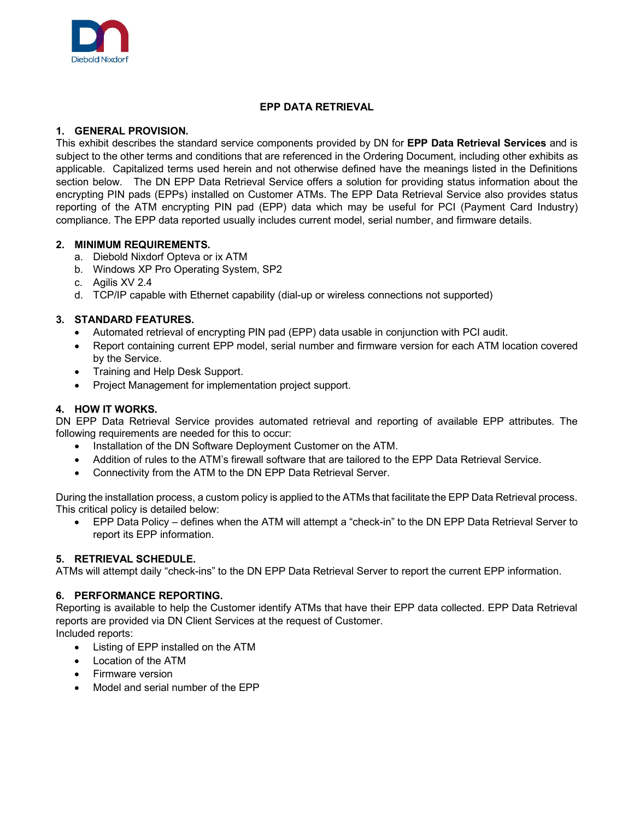

# **EPP DATA RETRIEVAL**

## **1. GENERAL PROVISION.**

This exhibit describes the standard service components provided by DN for **EPP Data Retrieval Services** and is subject to the other terms and conditions that are referenced in the Ordering Document, including other exhibits as applicable. Capitalized terms used herein and not otherwise defined have the meanings listed in the Definitions section below. The DN EPP Data Retrieval Service offers a solution for providing status information about the encrypting PIN pads (EPPs) installed on Customer ATMs. The EPP Data Retrieval Service also provides status reporting of the ATM encrypting PIN pad (EPP) data which may be useful for PCI (Payment Card Industry) compliance. The EPP data reported usually includes current model, serial number, and firmware details.

## **2. MINIMUM REQUIREMENTS.**

- a. Diebold Nixdorf Opteva or ix ATM
- b. Windows XP Pro Operating System, SP2
- c. Agilis XV 2.4
- d. TCP/IP capable with Ethernet capability (dial-up or wireless connections not supported)

# **3. STANDARD FEATURES.**

- Automated retrieval of encrypting PIN pad (EPP) data usable in conjunction with PCI audit.
- Report containing current EPP model, serial number and firmware version for each ATM location covered by the Service.
- Training and Help Desk Support.
- Project Management for implementation project support.

## **4. HOW IT WORKS.**

DN EPP Data Retrieval Service provides automated retrieval and reporting of available EPP attributes. The following requirements are needed for this to occur:

- Installation of the DN Software Deployment Customer on the ATM.
- Addition of rules to the ATM's firewall software that are tailored to the EPP Data Retrieval Service.
- Connectivity from the ATM to the DN EPP Data Retrieval Server.

During the installation process, a custom policy is applied to the ATMs that facilitate the EPP Data Retrieval process. This critical policy is detailed below:

• EPP Data Policy – defines when the ATM will attempt a "check-in" to the DN EPP Data Retrieval Server to report its EPP information.

## **5. RETRIEVAL SCHEDULE.**

ATMs will attempt daily "check-ins" to the DN EPP Data Retrieval Server to report the current EPP information.

## **6. PERFORMANCE REPORTING.**

Reporting is available to help the Customer identify ATMs that have their EPP data collected. EPP Data Retrieval reports are provided via DN Client Services at the request of Customer.

Included reports:

- Listing of EPP installed on the ATM
- Location of the ATM
- Firmware version
- Model and serial number of the EPP